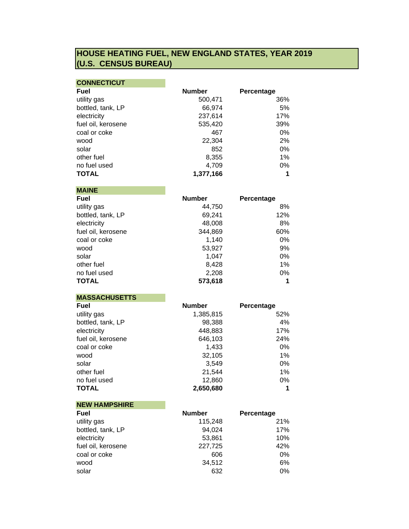## **HOUSE HEATING FUEL, NEW ENGLAND STATES, YEAR 2019 (U.S. CENSUS BUREAU)**

| <b>CONNECTICUT</b> |  |  |  |  |  |  |
|--------------------|--|--|--|--|--|--|
|--------------------|--|--|--|--|--|--|

| <b>Fuel</b>        | <b>Number</b> | Percentage |
|--------------------|---------------|------------|
| utility gas        | 500,471       | 36%        |
| bottled, tank, LP  | 66,974        | 5%         |
| electricity        | 237,614       | 17%        |
| fuel oil, kerosene | 535,420       | 39%        |
| coal or coke       | 467           | $0\%$      |
| wood               | 22,304        | 2%         |
| solar              | 852           | $0\%$      |
| other fuel         | 8,355         | 1%         |
| no fuel used       | 4,709         | 0%         |
| <b>TOTAL</b>       | 1,377,166     | 1          |

**MAINE**

| <b>Fuel</b>        | <b>Number</b> | Percentage |
|--------------------|---------------|------------|
| utility gas        | 44,750        | 8%         |
| bottled, tank, LP  | 69,241        | 12%        |
| electricity        | 48,008        | 8%         |
| fuel oil, kerosene | 344,869       | 60%        |
| coal or coke       | 1,140         | 0%         |
| wood               | 53,927        | 9%         |
| solar              | 1.047         | 0%         |
| other fuel         | 8,428         | 1%         |
| no fuel used       | 2,208         | 0%         |
| <b>TOTAL</b>       | 573,618       | 1          |

**MASSACHUSETTS**

| Fuel               | <b>Number</b> | Percentage |
|--------------------|---------------|------------|
| utility gas        | 1,385,815     | 52%        |
| bottled, tank, LP  | 98,388        | 4%         |
| electricity        | 448,883       | 17%        |
| fuel oil, kerosene | 646,103       | 24%        |
| coal or coke       | 1,433         | 0%         |
| wood               | 32,105        | 1%         |
| solar              | 3.549         | 0%         |
| other fuel         | 21,544        | 1%         |
| no fuel used       | 12,860        | 0%         |
| <b>TOTAL</b>       | 2,650,680     |            |

| <b>NEW HAMPSHIRE</b> |               |            |
|----------------------|---------------|------------|
| <b>Fuel</b>          | <b>Number</b> | Percentage |
| utility gas          | 115,248       | 21%        |
| bottled, tank, LP    | 94,024        | 17%        |
| electricity          | 53,861        | 10%        |
| fuel oil, kerosene   | 227,725       | 42%        |
| coal or coke         | 606           | 0%         |
| wood                 | 34,512        | 6%         |
| solar                | 632           | 0%         |